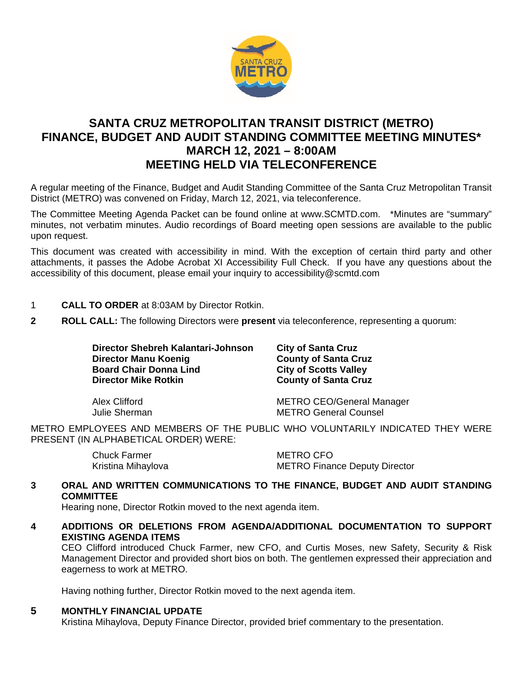

# **SANTA CRUZ METROPOLITAN TRANSIT DISTRICT (METRO) FINANCE, BUDGET AND AUDIT STANDING COMMITTEE MEETING MINUTES\* MARCH 12, 2021 – 8:00AM MEETING HELD VIA TELECONFERENCE**

A regular meeting of the Finance, Budget and Audit Standing Committee of the Santa Cruz Metropolitan Transit District (METRO) was convened on Friday, March 12, 2021, via teleconference.

The Committee Meeting Agenda Packet can be found online at www.SCMTD.com. \*Minutes are "summary" minutes, not verbatim minutes. Audio recordings of Board meeting open sessions are available to the public upon request.

This document was created with accessibility in mind. With the exception of certain third party and other attachments, it passes the Adobe Acrobat XI Accessibility Full Check. If you have any questions about the accessibility of this document, please email your inquiry to accessibility@scmtd.com

- 1 **CALL TO ORDER** at 8:03AM by Director Rotkin.
- **2 ROLL CALL:** The following Directors were **present** via teleconference, representing a quorum:

**Director Shebreh Kalantari-Johnson City of Santa Cruz Director Manu Koenig County of Santa Cruz Board Chair Donna Lind<br>Director Mike Rotkin** 

**County of Santa Cruz** 

Alex Clifford METRO CEO/General Manager Julie Sherman METRO General Counsel

METRO EMPLOYEES AND MEMBERS OF THE PUBLIC WHO VOLUNTARILY INDICATED THEY WERE PRESENT (IN ALPHABETICAL ORDER) WERE:

| Chuck Farmer       | <b>METRO CFO</b>                     |
|--------------------|--------------------------------------|
| Kristina Mihaylova | <b>METRO Finance Deputy Director</b> |

# **3 ORAL AND WRITTEN COMMUNICATIONS TO THE FINANCE, BUDGET AND AUDIT STANDING COMMITTEE**

Hearing none, Director Rotkin moved to the next agenda item.

**4 ADDITIONS OR DELETIONS FROM AGENDA/ADDITIONAL DOCUMENTATION TO SUPPORT EXISTING AGENDA ITEMS** 

CEO Clifford introduced Chuck Farmer, new CFO, and Curtis Moses, new Safety, Security & Risk Management Director and provided short bios on both. The gentlemen expressed their appreciation and eagerness to work at METRO.

Having nothing further, Director Rotkin moved to the next agenda item.

# **5 MONTHLY FINANCIAL UPDATE**

Kristina Mihaylova, Deputy Finance Director, provided brief commentary to the presentation.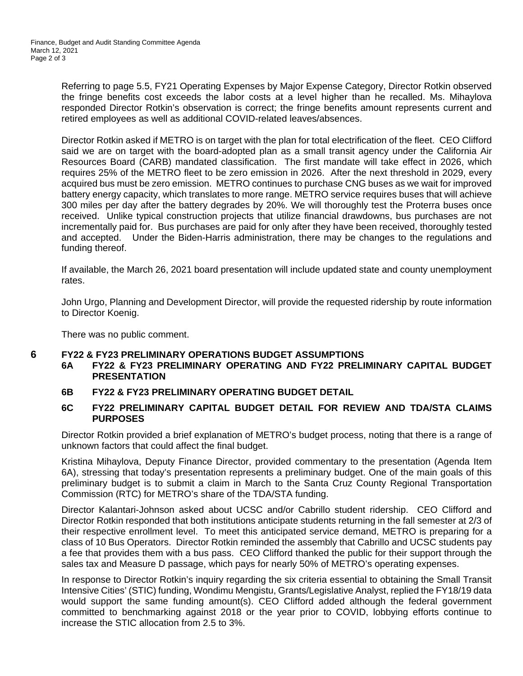Referring to page 5.5, FY21 Operating Expenses by Major Expense Category, Director Rotkin observed the fringe benefits cost exceeds the labor costs at a level higher than he recalled. Ms. Mihaylova responded Director Rotkin's observation is correct; the fringe benefits amount represents current and retired employees as well as additional COVID-related leaves/absences.

Director Rotkin asked if METRO is on target with the plan for total electrification of the fleet. CEO Clifford said we are on target with the board-adopted plan as a small transit agency under the California Air Resources Board (CARB) mandated classification. The first mandate will take effect in 2026, which requires 25% of the METRO fleet to be zero emission in 2026. After the next threshold in 2029, every acquired bus must be zero emission. METRO continues to purchase CNG buses as we wait for improved battery energy capacity, which translates to more range. METRO service requires buses that will achieve 300 miles per day after the battery degrades by 20%. We will thoroughly test the Proterra buses once received. Unlike typical construction projects that utilize financial drawdowns, bus purchases are not incrementally paid for. Bus purchases are paid for only after they have been received, thoroughly tested and accepted. Under the Biden-Harris administration, there may be changes to the regulations and funding thereof.

If available, the March 26, 2021 board presentation will include updated state and county unemployment rates.

John Urgo, Planning and Development Director, will provide the requested ridership by route information to Director Koenig.

There was no public comment.

# **6 FY22 & FY23 PRELIMINARY OPERATIONS BUDGET ASSUMPTIONS**

- **6A FY22 & FY23 PRELIMINARY OPERATING AND FY22 PRELIMINARY CAPITAL BUDGET PRESENTATION**
- **6B FY22 & FY23 PRELIMINARY OPERATING BUDGET DETAIL**

# **6C FY22 PRELIMINARY CAPITAL BUDGET DETAIL FOR REVIEW AND TDA/STA CLAIMS PURPOSES**

Director Rotkin provided a brief explanation of METRO's budget process, noting that there is a range of unknown factors that could affect the final budget.

Kristina Mihaylova, Deputy Finance Director, provided commentary to the presentation (Agenda Item 6A), stressing that today's presentation represents a preliminary budget. One of the main goals of this preliminary budget is to submit a claim in March to the Santa Cruz County Regional Transportation Commission (RTC) for METRO's share of the TDA/STA funding.

Director Kalantari-Johnson asked about UCSC and/or Cabrillo student ridership. CEO Clifford and Director Rotkin responded that both institutions anticipate students returning in the fall semester at 2/3 of their respective enrollment level. To meet this anticipated service demand, METRO is preparing for a class of 10 Bus Operators. Director Rotkin reminded the assembly that Cabrillo and UCSC students pay a fee that provides them with a bus pass. CEO Clifford thanked the public for their support through the sales tax and Measure D passage, which pays for nearly 50% of METRO's operating expenses.

In response to Director Rotkin's inquiry regarding the six criteria essential to obtaining the Small Transit Intensive Cities' (STIC) funding, Wondimu Mengistu, Grants/Legislative Analyst, replied the FY18/19 data would support the same funding amount(s). CEO Clifford added although the federal government committed to benchmarking against 2018 or the year prior to COVID, lobbying efforts continue to increase the STIC allocation from 2.5 to 3%.